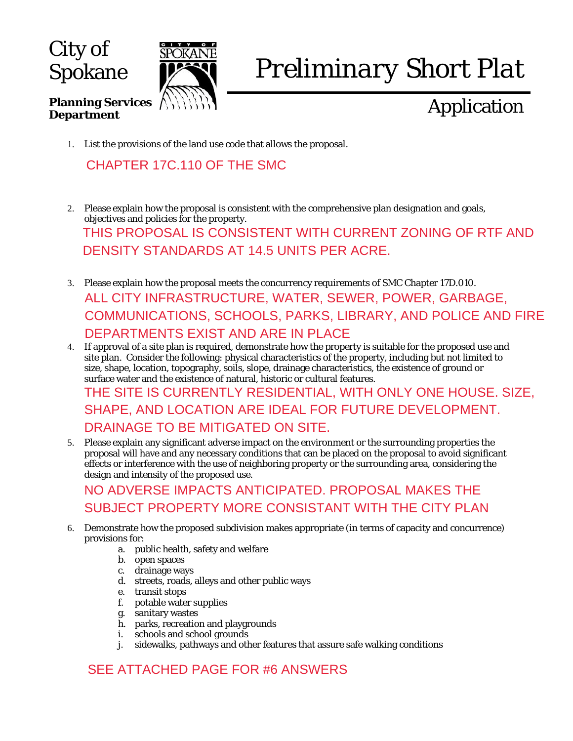City of Spokane

**Department** 

**Planning Services** 



# *Preliminary Short Plat*

# Application

1. List the provisions of the land use code that allows the proposal.

#### CHAPTER 17C.110 OF THE SMC

- 2. Please explain how the proposal is consistent with the comprehensive plan designation and goals, objectives and policies for the property. THIS PROPOSAL IS CONSISTENT WITH CURRENT ZONING OF RTF AND DENSITY STANDARDS AT 14.5 UNITS PER ACRE.
- 3. Please explain how the proposal meets the concurrency requirements of SMC Chapter 17D.010. ALL CITY INFRASTRUCTURE, WATER, SEWER, POWER, GARBAGE, COMMUNICATIONS, SCHOOLS, PARKS, LIBRARY, AND POLICE AND FIRE DEPARTMENTS EXIST AND ARE IN PLACE
- 4. If approval of a site plan is required, demonstrate how the property is suitable for the proposed use and site plan. Consider the following: physical characteristics of the property, including but not limited to size, shape, location, topography, soils, slope, drainage characteristics, the existence of ground or surface water and the existence of natural, historic or cultural features. THE SITE IS CURRENTLY RESIDENTIAL, WITH ONLY ONE HOUSE. SIZE, SHAPE, AND LOCATION ARE IDEAL FOR FUTURE DEVELOPMENT. DRAINAGE TO BE MITIGATED ON SITE.
- 5. Please explain any significant adverse impact on the environment or the surrounding properties the proposal will have and any necessary conditions that can be placed on the proposal to avoid significant effects or interference with the use of neighboring property or the surrounding area, considering the design and intensity of the proposed use.

## NO ADVERSE IMPACTS ANTICIPATED. PROPOSAL MAKES THE SUBJECT PROPERTY MORE CONSISTANT WITH THE CITY PLAN

- 6. Demonstrate how the proposed subdivision makes appropriate (in terms of capacity and concurrence) provisions for:
	- a. public health, safety and welfare
	- b. open spaces
	- c. drainage ways
	- d. streets, roads, alleys and other public ways
	- e. transit stops
	- f. potable water supplies
	- g. sanitary wastes
	- h. parks, recreation and playgrounds
	- i. schools and school grounds
	- j. sidewalks, pathways and other features that assure safe walking conditions

### SEE ATTACHED PAGE FOR #6 ANSWERS